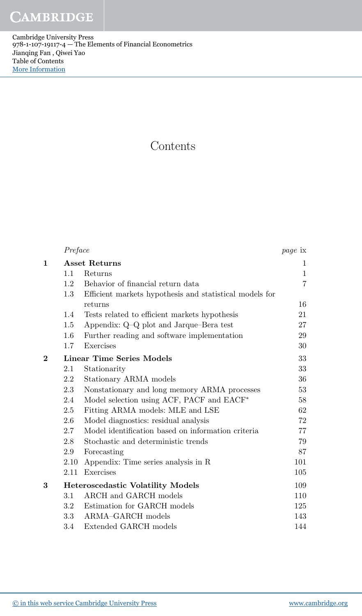**CAMBRIDGE** 

Cambridge University Press 978-1-107-19117-4 — The Elements of Financial Econometrics Jianqing Fan , Qiwei Yao Table of Contents [More Information](www.cambridge.org/9781107191174)

## **Contents**

|              | Preface              |                                                         | <i>page</i> ix |
|--------------|----------------------|---------------------------------------------------------|----------------|
| $\mathbf{1}$ | <b>Asset Returns</b> |                                                         | 1              |
|              | 1.1                  | Returns                                                 | $\mathbf{1}$   |
|              | 1.2                  | Behavior of financial return data                       | $\overline{7}$ |
|              | 1.3                  | Efficient markets hypothesis and statistical models for |                |
|              |                      | returns                                                 | 16             |
|              | 1.4                  | Tests related to efficient markets hypothesis           | 21             |
|              | $1.5\,$              | Appendix: Q-Q plot and Jarque-Bera test                 | 27             |
|              | 1.6                  | Further reading and software implementation             | 29             |
|              | 1.7                  | Exercises                                               | 30             |
| $\bf{2}$     |                      | <b>Linear Time Series Models</b>                        | 33             |
|              | 2.1                  | Stationarity                                            | 33             |
|              | 2.2                  | Stationary ARMA models                                  | 36             |
|              | 2.3                  | Nonstationary and long memory ARMA processes            | 53             |
|              | 2.4                  | Model selection using ACF, PACF and EACF*               | 58             |
|              | 2.5                  | Fitting ARMA models: MLE and LSE                        | 62             |
|              | 2.6                  | Model diagnostics: residual analysis                    | 72             |
|              | 2.7                  | Model identification based on information criteria      | 77             |
|              | 2.8                  | Stochastic and deterministic trends                     | 79             |
|              | 2.9                  | Forecasting                                             | 87             |
|              | 2.10                 | Appendix: Time series analysis in R                     | 101            |
|              | 2.11                 | Exercises                                               | 105            |
| 3            |                      | <b>Heteroscedastic Volatility Models</b>                | 109            |
|              | 3.1                  | ARCH and GARCH models                                   | 110            |
|              | $3.2\,$              | Estimation for GARCH models                             | 125            |
|              | 3.3                  | ARMA-GARCH models                                       | 143            |
|              | 3.4                  | Extended GARCH models                                   | 144            |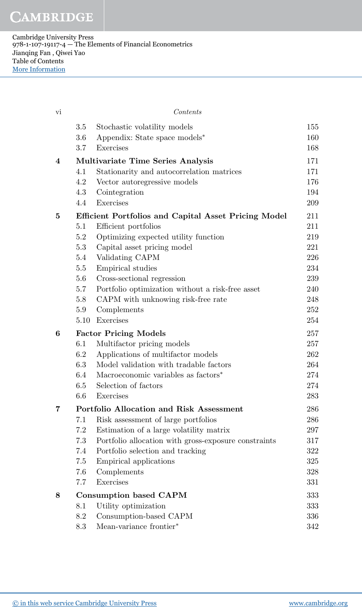**CAMBRIDGE** 

Cambridge University Press 978-1-107-19117-4 — The Elements of Financial Econometrics Jianqing Fan , Qiwei Yao Table of Contents [More Information](www.cambridge.org/9781107191174)

| vi |             | Contents                                                                     |            |
|----|-------------|------------------------------------------------------------------------------|------------|
|    | 3.5         | Stochastic volatility models                                                 | 155        |
|    | 3.6         | Appendix: State space models*                                                | 160        |
|    | 3.7         | Exercises                                                                    | 168        |
| 4  |             | Multivariate Time Series Analysis                                            | 171        |
|    | 4.1         | Stationarity and autocorrelation matrices                                    | 171        |
|    | 4.2         | Vector autoregressive models                                                 | 176        |
|    | 4.3         | Cointegration                                                                | 194        |
|    | 4.4         | Exercises                                                                    | 209        |
| 5  |             | <b>Efficient Portfolios and Capital Asset Pricing Model</b>                  | 211        |
|    | 5.1         | Efficient portfolios                                                         | 211        |
|    | 5.2         | Optimizing expected utility function                                         | 219        |
|    | 5.3         | Capital asset pricing model                                                  | 221        |
|    | 5.4         | Validating CAPM                                                              | 226        |
|    | 5.5         | Empirical studies                                                            | 234        |
|    | 5.6         | Cross-sectional regression                                                   | 239        |
|    | 5.7         | Portfolio optimization without a risk-free asset                             | $240\,$    |
|    | 5.8         | CAPM with unknowing risk-free rate                                           | 248        |
|    | 5.9<br>5.10 | Complements<br>Exercises                                                     | 252<br>254 |
|    |             |                                                                              |            |
| 6  |             | <b>Factor Pricing Models</b>                                                 | 257        |
|    | 6.1<br>6.2  | Multifactor pricing models                                                   | 257<br>262 |
|    | 6.3         | Applications of multifactor models<br>Model validation with tradable factors | 264        |
|    | $6.4\,$     | Macroeconomic variables as factors <sup>*</sup>                              | 274        |
|    | 6.5         | Selection of factors                                                         | 274        |
|    | 6.6         | Exercises                                                                    | 283        |
| 7  |             | Portfolio Allocation and Risk Assessment                                     | 286        |
|    | 7.1         | Risk assessment of large portfolios                                          | 286        |
|    | 7.2         | Estimation of a large volatility matrix                                      | 297        |
|    | 7.3         | Portfolio allocation with gross-exposure constraints                         | 317        |
|    | 7.4         | Portfolio selection and tracking                                             | 322        |
|    | 7.5         | Empirical applications                                                       | 325        |
|    | 7.6         | Complements                                                                  | 328        |
|    | 7.7         | Exercises                                                                    | 331        |
| 8  |             | <b>Consumption based CAPM</b>                                                | 333        |
|    | 8.1         | Utility optimization                                                         | 333        |
|    | 8.2         | Consumption-based CAPM                                                       | 336        |
|    | 8.3         | Mean-variance frontier*                                                      | 342        |